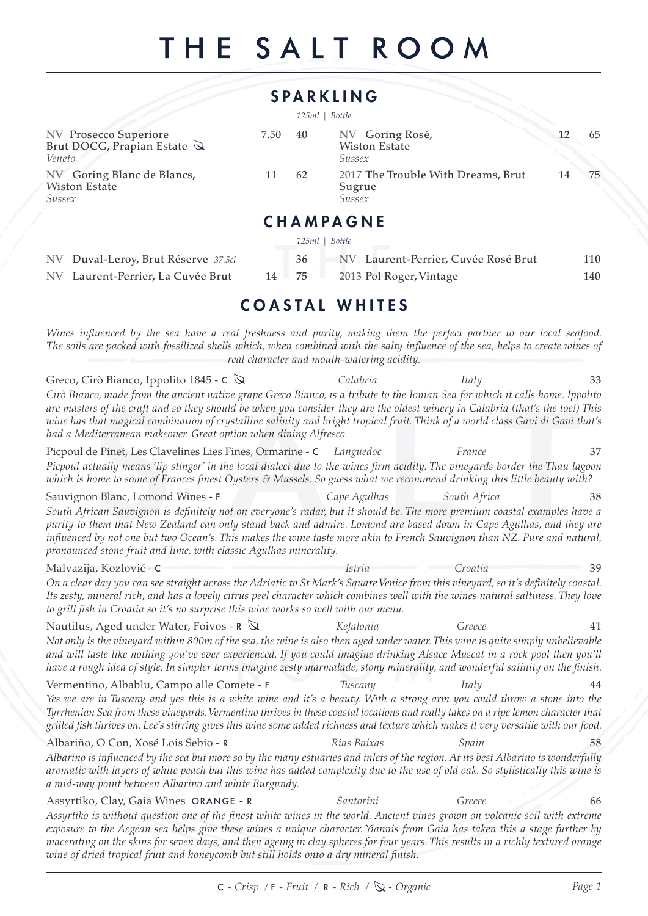# THE SALT ROOM

|                                                                                                                                                                                                                                                                                                                                                                                                                                                                         |      |                  | <b>SPARKLING</b>                                  |                                     |          |
|-------------------------------------------------------------------------------------------------------------------------------------------------------------------------------------------------------------------------------------------------------------------------------------------------------------------------------------------------------------------------------------------------------------------------------------------------------------------------|------|------------------|---------------------------------------------------|-------------------------------------|----------|
|                                                                                                                                                                                                                                                                                                                                                                                                                                                                         |      | $125ml$   Bottle |                                                   |                                     |          |
| <b>NV Prosecco Superiore</b><br>Brut DOCG, Prapian Estate $\mathbb Q$<br>Veneto                                                                                                                                                                                                                                                                                                                                                                                         | 7.50 | 40               | NV Goring Rosé,<br><b>Wiston Estate</b><br>Sussex |                                     | 12<br>65 |
| NV Goring Blanc de Blancs,<br><b>Wiston Estate</b><br>Sussex                                                                                                                                                                                                                                                                                                                                                                                                            | 11   | 62               | Sugrue<br>Sussex                                  | 2017 The Trouble With Dreams, Brut  | 75<br>14 |
|                                                                                                                                                                                                                                                                                                                                                                                                                                                                         |      |                  | <b>CHAMPAGNE</b>                                  |                                     |          |
|                                                                                                                                                                                                                                                                                                                                                                                                                                                                         |      | 125ml   Bottle   |                                                   |                                     |          |
| NV Duval-Leroy, Brut Réserve 37.5cl                                                                                                                                                                                                                                                                                                                                                                                                                                     |      | 36               |                                                   | NV Laurent-Perrier, Cuvée Rosé Brut | 110      |
| NV Laurent-Perrier, La Cuvée Brut                                                                                                                                                                                                                                                                                                                                                                                                                                       | 14   | 75               | 2013 Pol Roger, Vintage                           |                                     | 140      |
|                                                                                                                                                                                                                                                                                                                                                                                                                                                                         |      |                  |                                                   |                                     |          |
|                                                                                                                                                                                                                                                                                                                                                                                                                                                                         |      |                  | <b>COASTAL WHITES</b>                             |                                     |          |
| Wines influenced by the sea have a real freshness and purity, making them the perfect partner to our local seafood.<br>The soils are packed with fossilized shells which, when combined with the salty influence of the sea, helps to create wines of                                                                                                                                                                                                                   |      |                  | real character and mouth-watering acidity.        |                                     |          |
| Greco, Cirò Bianco, Ippolito 1845 - $\mathsf{C} \, \mathsf{\&}$                                                                                                                                                                                                                                                                                                                                                                                                         |      |                  | Calabria                                          | Italy                               | 33       |
| Cirò Bianco, made from the ancient native grape Greco Bianco, is a tribute to the Ionian Sea for which it calls home. Ippolito<br>are masters of the craft and so they should be when you consider they are the oldest winery in Calabria (that's the toe!) This<br>wine has that magical combination of crystalline salinity and bright tropical fruit. Think of a world class Gavi di Gavi that's<br>had a Mediterranean makeover. Great option when dining Alfresco. |      |                  |                                                   |                                     |          |
| Picpoul de Pinet, Les Clavelines Lies Fines, Ormarine - C Languedoc                                                                                                                                                                                                                                                                                                                                                                                                     |      |                  |                                                   | France                              | 37       |
| Picpoul actually means 'lip stinger' in the local dialect due to the wines firm acidity. The vineyards border the Thau lagoon<br>which is home to some of Frances finest Oysters & Mussels. So guess what we recommend drinking this little beauty with?                                                                                                                                                                                                                |      |                  |                                                   |                                     |          |
| Sauvignon Blanc, Lomond Wines - F                                                                                                                                                                                                                                                                                                                                                                                                                                       |      |                  | Cape Agulhas                                      | South Africa                        | 38       |
| South African Sauvignon is definitely not on everyone's radar, but it should be. The more premium coastal examples have a<br>purity to them that New Zealand can only stand back and admire. Lomond are based down in Cape Agulhas, and they are<br>influenced by not one but two Ocean's. This makes the wine taste more akin to French Sauvignon than NZ. Pure and natural,<br>pronounced stone fruit and lime, with classic Agulhas minerality.                      |      |                  |                                                   |                                     |          |
| Malvazija, Kozlović - C                                                                                                                                                                                                                                                                                                                                                                                                                                                 |      |                  | <i>Istria</i>                                     | Croatia                             |          |
| On a clear day you can see straight across the Adriatic to St Mark's Square Venice from this vineyard, so it's definitely coastal.<br>Its zesty, mineral rich, and has a lovely citrus peel character which combines well with the wines natural saltiness. They love<br>to grill fish in Croatia so it's no surprise this wine works so well with our menu.                                                                                                            |      |                  |                                                   |                                     |          |
| Nautilus, Aged under Water, Foivos - $\mathsf{R}$ $\mathbb \mathsf{Q}$                                                                                                                                                                                                                                                                                                                                                                                                  |      |                  | Kefalonia                                         | Greece                              | 41       |
| Not only is the vineyard within 800m of the sea, the wine is also then aged under water. This wine is quite simply unbelievable<br>and will taste like nothing you've ever experienced. If you could imagine drinking Alsace Muscat in a rock pool then you'll<br>have a rough idea of style. In simpler terms imagine zesty marmalade, stony minerality, and wonderful salinity on the finish.                                                                         |      |                  |                                                   |                                     |          |
| Vermentino, Albablu, Campo alle Comete - F                                                                                                                                                                                                                                                                                                                                                                                                                              |      |                  | Tuscany                                           | Italy                               | 44       |
| Yes we are in Tuscany and yes this is a white wine and it's a beauty. With a strong arm you could throw a stone into the<br>Tyrrhenian Sea from these vineyards. Vermentino thrives in these coastal locations and really takes on a ripe lemon character that<br>grilled fish thrives on. Lee's stirring gives this wine some added richness and texture which makes it very versatile with our food.                                                                  |      |                  |                                                   |                                     |          |
| Albariño, O Con, Xosé Lois Sebio - R                                                                                                                                                                                                                                                                                                                                                                                                                                    |      |                  | Rias Baixas                                       | Spain                               | 58       |
| Albarino is influenced by the sea but more so by the many estuaries and inlets of the region. At its best Albarino is wonderfully<br>aromatic with layers of white peach but this wine has added complexity due to the use of old oak. So stylistically this wine is<br>a mid-way point between Albarino and white Burgundy.                                                                                                                                            |      |                  |                                                   |                                     |          |
| Assyrtiko, Clay, Gaia Wines ORANGE - R<br>Assyrtiko is without question one of the finest white wines in the world. Ancient vines grown on volcanic soil with extreme                                                                                                                                                                                                                                                                                                   |      |                  | Santorini                                         | Greece                              | 66       |

*Assyrtiko is without question one of the finest white wines in the world. Ancient vines grown on volcanic soil with extreme exposure to the Aegean sea helps give these wines a unique character. Yiannis from Gaia has taken this a stage further by macerating on the skins for seven days, and then ageing in clay spheres for four years. This results in a richly textured orange wine of dried tropical fruit and honeycomb but still holds onto a dry mineral finish.*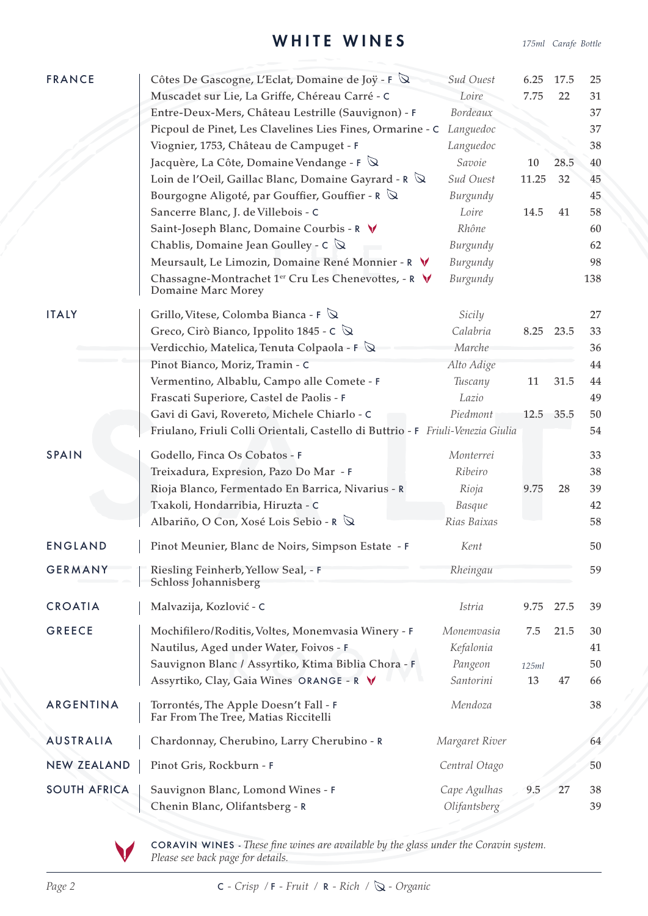### WHITE WINES *175ml Carafe Bottle*

| <b>FRANCE</b>       | Côtes De Gascogne, L'Eclat, Domaine de Joÿ - F Q                                | Sud Ouest             | 6.25  | 17.5 | 25       |
|---------------------|---------------------------------------------------------------------------------|-----------------------|-------|------|----------|
|                     | Muscadet sur Lie, La Griffe, Chéreau Carré - C                                  | Loire                 | 7.75  | 22   | 31       |
|                     | Entre-Deux-Mers, Château Lestrille (Sauvignon) - F                              | Bordeaux              |       |      | 37       |
|                     | Picpoul de Pinet, Les Clavelines Lies Fines, Ormarine - C                       | Languedoc             |       |      | 37       |
|                     | Viognier, 1753, Château de Campuget - F                                         | Languedoc             |       |      | 38       |
|                     | Jacquère, La Côte, Domaine Vendange - $F \mathbb{Q}$                            | Savoie                | 10    | 28.5 | 40       |
|                     | Loin de l'Oeil, Gaillac Blanc, Domaine Gayrard - R $\mathbb Q$                  | Sud Ouest             | 11.25 | 32   | 45       |
|                     | Bourgogne Aligoté, par Gouffier, Gouffier - R Q                                 | Burgundy              |       |      | 45       |
|                     | Sancerre Blanc, J. de Villebois - C                                             | Loire                 | 14.5  | 41   | 58       |
|                     | Saint-Joseph Blanc, Domaine Courbis - R V                                       | Rhône                 |       |      | 60       |
|                     | Chablis, Domaine Jean Goulley - $C \mathbb{Q}$                                  | Burgundy              |       |      | 62       |
|                     | Meursault, Le Limozin, Domaine René Monnier - R V                               | Burgundy              |       |      | 98       |
|                     | Chassagne-Montrachet 1er Cru Les Chenevottes, - R V<br>Domaine Marc Morey       | Burgundy              |       |      | 138      |
| <b>ITALY</b>        | Grillo, Vitese, Colomba Bianca - F $\mathbb Q$                                  | Sicily                |       |      | 27       |
|                     | Greco, Cirò Bianco, Ippolito 1845 - C $\&$                                      | Calabria              | 8.25  | 23.5 | 33       |
|                     | Verdicchio, Matelica, Tenuta Colpaola - $F \mathbb{Q}$                          | Marche                |       |      | 36       |
|                     | Pinot Bianco, Moriz, Tramin - C                                                 | Alto Adige            |       |      | 44       |
|                     | Vermentino, Albablu, Campo alle Comete - F                                      | Tuscany               | 11    | 31.5 | 44       |
|                     | Frascati Superiore, Castel de Paolis - F                                        | Lazio                 |       |      | 49       |
|                     | Gavi di Gavi, Rovereto, Michele Chiarlo - C                                     | Piedmont              | 12.5  | 35.5 | 50       |
|                     | Friulano, Friuli Colli Orientali, Castello di Buttrio - F Friuli-Venezia Giulia |                       |       |      | 54       |
|                     |                                                                                 |                       |       |      |          |
| <b>SPAIN</b>        | Godello, Finca Os Cobatos - F                                                   | Monterrei             |       |      | 33       |
|                     | Treixadura, Expresion, Pazo Do Mar - F                                          | Ribeiro               |       |      | 38       |
|                     | Rioja Blanco, Fermentado En Barrica, Nivarius - R                               | Rioja                 | 9.75  | 28   | 39       |
|                     | Txakoli, Hondarribia, Hiruzta - C<br>Albariño, O Con, Xosé Lois Sebio - R Q     | Basque<br>Rias Baixas |       |      | 42<br>58 |
|                     |                                                                                 |                       |       |      |          |
| <b>ENGLAND</b>      | Pinot Meunier, Blanc de Noirs, Simpson Estate - F                               | Kent                  |       |      | 50       |
| <b>GERMANY</b>      | Riesling Feinherb, Yellow Seal, - F<br>Schloss Johannisberg                     | Rheingau              |       |      | 59       |
|                     |                                                                                 |                       |       |      |          |
| <b>CROATIA</b>      | Malvazija, Kozlović - C                                                         | <i>Istria</i>         | 9.75  | 27.5 | 39       |
| <b>GREECE</b>       | Mochifilero/Roditis, Voltes, Monemvasia Winery - F                              | Monemvasia            | 7.5   | 21.5 | 30       |
|                     | Nautilus, Aged under Water, Foivos - F                                          | Kefalonia             |       |      | 41       |
|                     | Sauvignon Blanc / Assyrtiko, Ktima Biblia Chora - F                             | Pangeon               | 125ml |      | 50       |
|                     | Assyrtiko, Clay, Gaia Wines ORANGE - R V                                        | Santorini             | 13    | 47   | 66       |
| ARGENTINA           | Torrontés, The Apple Doesn't Fall - F<br>Far From The Tree, Matias Riccitelli   | Mendoza               |       |      | 38       |
| <b>AUSTRALIA</b>    | Chardonnay, Cherubino, Larry Cherubino - R                                      | Margaret River        |       |      | 64       |
| <b>NEW ZEALAND</b>  | Pinot Gris, Rockburn - F                                                        | Central Otago         |       |      | 50       |
| <b>SOUTH AFRICA</b> | Sauvignon Blanc, Lomond Wines - F                                               | Cape Agulhas          | 9.5   | 27   | 38       |
|                     | Chenin Blanc, Olifantsberg - R                                                  | Olifantsberg          |       |      | 39       |

CORAVIN WINES - *These fine wines are available by the glass under the Coravin system. Please see back page for details.*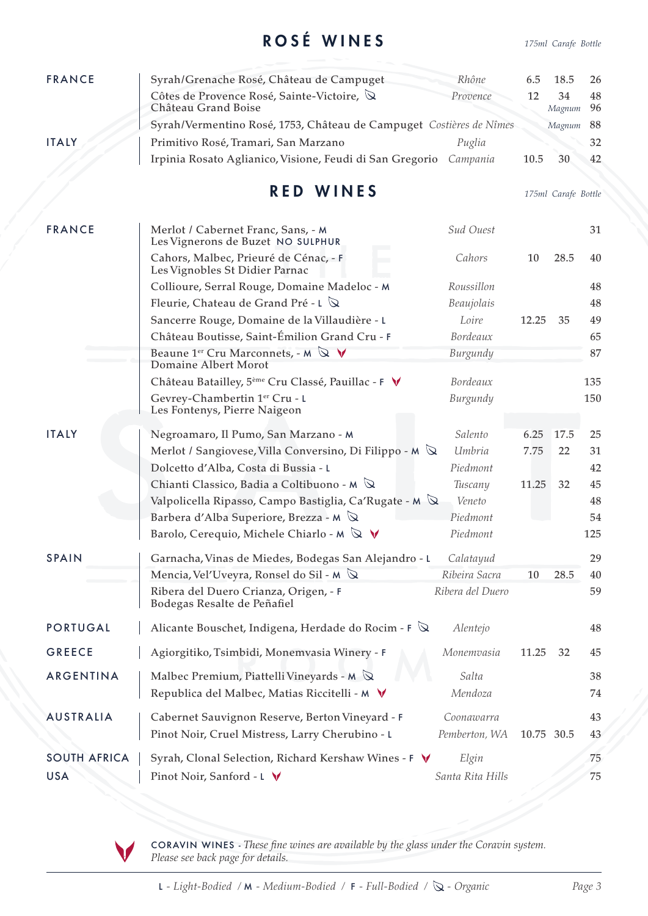## ROSÉ WINES *175ml Carafe Bottle*

| <b>FRANCE</b>       | Syrah/Grenache Rosé, Château de Campuget                                                            | Rhône            | 6.5        | 18.5                | 26       |
|---------------------|-----------------------------------------------------------------------------------------------------|------------------|------------|---------------------|----------|
|                     | Côtes de Provence Rosé, Sainte-Victoire, Q<br>Château Grand Boise                                   | Provence         | 12         | 34<br>Magnum        | 48<br>96 |
|                     | Syrah/Vermentino Rosé, 1753, Château de Campuget Costières de Nîmes                                 |                  |            | Magnum              | 88       |
| <b>ITALY</b>        | Primitivo Rosé, Tramari, San Marzano                                                                | Puglia           |            |                     | 32       |
|                     | Irpinia Rosato Aglianico, Visione, Feudi di San Gregorio                                            | Campania         | 10.5       | 30                  | 42       |
|                     |                                                                                                     |                  |            |                     |          |
|                     | <b>RED WINES</b>                                                                                    |                  |            | 175ml Carafe Bottle |          |
| <b>FRANCE</b>       | Merlot / Cabernet Franc, Sans, - M<br>Les Vignerons de Buzet NO SULPHUR                             | Sud Ouest        |            |                     | 31       |
|                     | Cahors, Malbec, Prieuré de Cénac, - F<br>Les Vignobles St Didier Parnac                             | Cahors           | 10         | 28.5                | 40       |
|                     | Collioure, Serral Rouge, Domaine Madeloc - M                                                        | Roussillon       |            |                     | 48       |
|                     | Fleurie, Chateau de Grand Pré - L $\mathbb Q$                                                       | Beaujolais       |            |                     | 48       |
|                     | Sancerre Rouge, Domaine de la Villaudière - L                                                       | Loire            | 12.25      | 35                  | 49       |
|                     | Château Boutisse, Saint-Émilion Grand Cru - F                                                       | Bordeaux         |            |                     | 65       |
|                     | Beaune 1 <sup>er</sup> Cru Marconnets, - M $\mathbb{Q}$ $\mathsf{V}$<br><b>Domaine Albert Morot</b> | Burgundy         |            |                     | 87       |
|                     | Château Batailley, 5 <sup>ème</sup> Cru Classé, Pauillac - F V                                      | Bordeaux         |            |                     | 135      |
|                     | Gevrey-Chambertin 1er Cru - L<br>Les Fontenys, Pierre Naigeon                                       | Burgundy         |            |                     | 150      |
| <b>ITALY</b>        | Negroamaro, Il Pumo, San Marzano - M                                                                | Salento          | 6.25       | 17.5                | 25       |
|                     | Merlot / Sangiovese, Villa Conversino, Di Filippo - M $\mathbb Q$                                   | Umbria           | 7.75       | 22                  | 31       |
|                     | Dolcetto d'Alba, Costa di Bussia - L                                                                | Piedmont         |            |                     | 42       |
|                     | Chianti Classico, Badia a Coltibuono - M $\mathbb Q$                                                | Tuscany          | 11.25      | 32                  | 45       |
|                     | Valpolicella Ripasso, Campo Bastiglia, Ca'Rugate - M $\mathbb Q$                                    | Veneto           |            |                     | 48       |
|                     | Barbera d'Alba Superiore, Brezza - M $\mathbb Q$                                                    | Piedmont         |            |                     | 54       |
|                     | Barolo, Cerequio, Michele Chiarlo - M $\mathbb Q$ V                                                 | Piedmont         |            |                     | 125      |
| <b>SPAIN</b>        | Garnacha, Vinas de Miedes, Bodegas San Alejandro - L                                                | Calatayud        |            |                     | 29       |
|                     | Mencia, Vel'Uveyra, Ronsel do Sil - M $\mathbb Q$                                                   | Ribeira Sacra    | 10         | 28.5                | 40       |
|                     | Ribera del Duero Crianza, Origen, - F<br>Bodegas Resalte de Peñafiel                                | Ribera del Duero |            |                     | 59       |
| <b>PORTUGAL</b>     | Alicante Bouschet, Indigena, Herdade do Rocim - $\mathsf F$ $\mathbb Q$                             | Alentejo         |            |                     | 48       |
| <b>GREECE</b>       | Agiorgitiko, Tsimbidi, Monemvasia Winery - F                                                        | Monemvasia       | 11.25      | 32                  | 45       |
| ARGENTINA           | Malbec Premium, Piattelli Vineyards - $M \otimes$                                                   | Salta            |            |                     | 38       |
|                     | Republica del Malbec, Matias Riccitelli - M V                                                       | Mendoza          |            |                     | 74       |
| <b>AUSTRALIA</b>    | Cabernet Sauvignon Reserve, Berton Vineyard - F                                                     | Coonawarra       |            |                     | 43       |
|                     | Pinot Noir, Cruel Mistress, Larry Cherubino - L                                                     | Pemberton, WA    | 10.75 30.5 |                     | 43       |
|                     |                                                                                                     |                  |            |                     |          |
| <b>SOUTH AFRICA</b> | Syrah, Clonal Selection, Richard Kershaw Wines - F V                                                | Elgin            |            |                     | 75       |
| <b>USA</b>          | Pinot Noir, Sanford - L V                                                                           | Santa Rita Hills |            |                     | 75       |

CORAVIN WINES - *These fine wines are available by the glass under the Coravin system. Please see back page for details.*